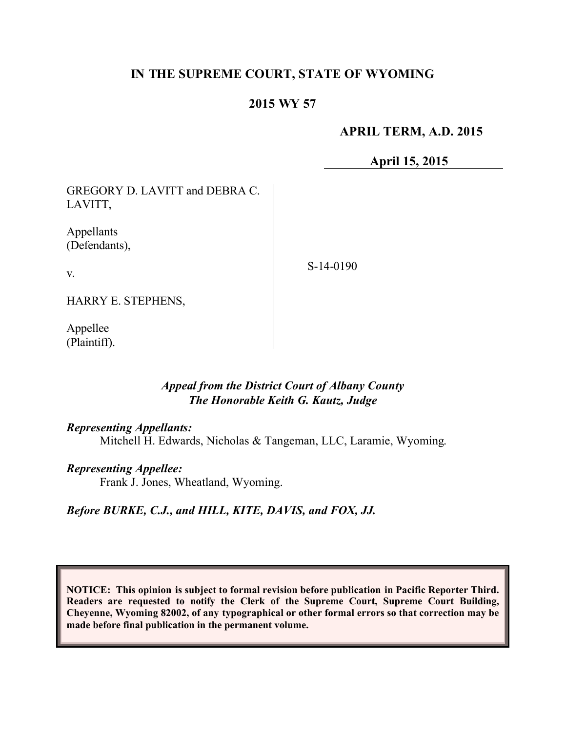# **IN THE SUPREME COURT, STATE OF WYOMING**

## **2015 WY 57**

### **APRIL TERM, A.D. 2015**

**April 15, 2015**

GREGORY D. LAVITT and DEBRA C. LAVITT, Appellants (Defendants),

v.

S-14-0190

HARRY E. STEPHENS,

Appellee (Plaintiff).

## *Appeal from the District Court of Albany County The Honorable Keith G. Kautz, Judge*

#### *Representing Appellants:*

Mitchell H. Edwards, Nicholas & Tangeman, LLC, Laramie, Wyoming.

#### *Representing Appellee:*

Frank J. Jones, Wheatland, Wyoming.

#### *Before BURKE, C.J., and HILL, KITE, DAVIS, and FOX, JJ.*

**NOTICE: This opinion is subject to formal revision before publication in Pacific Reporter Third. Readers are requested to notify the Clerk of the Supreme Court, Supreme Court Building, Cheyenne, Wyoming 82002, of any typographical or other formal errors so that correction may be made before final publication in the permanent volume.**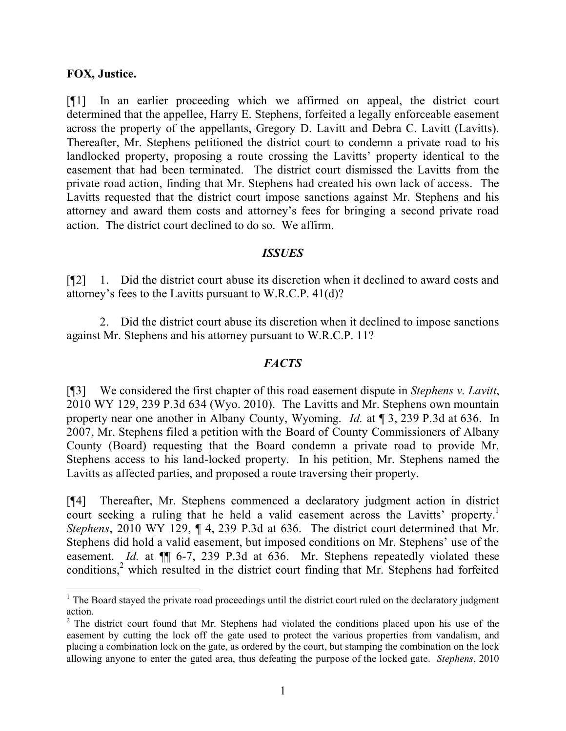#### **FOX, Justice.**

[¶1] In an earlier proceeding which we affirmed on appeal, the district court determined that the appellee, Harry E. Stephens, forfeited a legally enforceable easement across the property of the appellants, Gregory D. Lavitt and Debra C. Lavitt (Lavitts). Thereafter, Mr. Stephens petitioned the district court to condemn a private road to his landlocked property, proposing a route crossing the Lavitts' property identical to the easement that had been terminated. The district court dismissed the Lavitts from the private road action, finding that Mr. Stephens had created his own lack of access. The Lavitts requested that the district court impose sanctions against Mr. Stephens and his attorney and award them costs and attorney's fees for bringing a second private road action. The district court declined to do so. We affirm.

#### *ISSUES*

[¶2] 1. Did the district court abuse its discretion when it declined to award costs and attorney's fees to the Lavitts pursuant to W.R.C.P. 41(d)?

2. Did the district court abuse its discretion when it declined to impose sanctions against Mr. Stephens and his attorney pursuant to W.R.C.P. 11?

#### *FACTS*

[¶3] We considered the first chapter of this road easement dispute in *Stephens v. Lavitt*, 2010 WY 129, 239 P.3d 634 (Wyo. 2010). The Lavitts and Mr. Stephens own mountain property near one another in Albany County, Wyoming. *Id.* at ¶ 3, 239 P.3d at 636. In 2007, Mr. Stephens filed a petition with the Board of County Commissioners of Albany County (Board) requesting that the Board condemn a private road to provide Mr. Stephens access to his land-locked property. In his petition, Mr. Stephens named the Lavitts as affected parties, and proposed a route traversing their property.

[¶4] Thereafter, Mr. Stephens commenced a declaratory judgment action in district court seeking a ruling that he held a valid easement across the Lavitts' property.<sup>1</sup> *Stephens*, 2010 WY 129, ¶ 4, 239 P.3d at 636. The district court determined that Mr. Stephens did hold a valid easement, but imposed conditions on Mr. Stephens' use of the easement. *Id.* at  $\P$  6-7, 239 P.3d at 636. Mr. Stephens repeatedly violated these conditions,<sup>2</sup> which resulted in the district court finding that Mr. Stephens had forfeited

  $<sup>1</sup>$  The Board stayed the private road proceedings until the district court ruled on the declaratory judgment</sup> action.

 $2$  The district court found that Mr. Stephens had violated the conditions placed upon his use of the easement by cutting the lock off the gate used to protect the various properties from vandalism, and placing a combination lock on the gate, as ordered by the court, but stamping the combination on the lock allowing anyone to enter the gated area, thus defeating the purpose of the locked gate. *Stephens*, 2010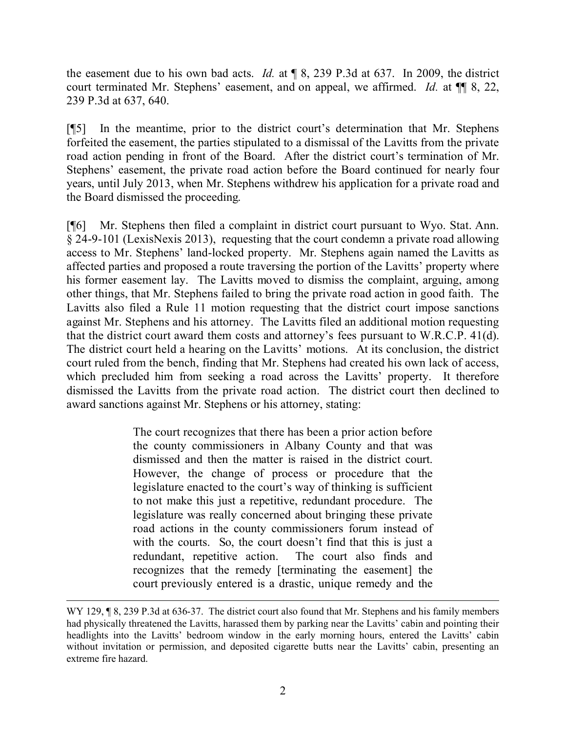the easement due to his own bad acts. *Id.* at ¶ 8, 239 P.3d at 637. In 2009, the district court terminated Mr. Stephens' easement, and on appeal, we affirmed. *Id.* at  $\P$  §, 22, 239 P.3d at 637, 640.

[¶5] In the meantime, prior to the district court's determination that Mr. Stephens forfeited the easement, the parties stipulated to a dismissal of the Lavitts from the private road action pending in front of the Board. After the district court's termination of Mr. Stephens' easement, the private road action before the Board continued for nearly four years, until July 2013, when Mr. Stephens withdrew his application for a private road and the Board dismissed the proceeding.

[¶6] Mr. Stephens then filed a complaint in district court pursuant to Wyo. Stat. Ann. § 24-9-101 (LexisNexis 2013), requesting that the court condemn a private road allowing access to Mr. Stephens' land-locked property. Mr. Stephens again named the Lavitts as affected parties and proposed a route traversing the portion of the Lavitts' property where his former easement lay. The Lavitts moved to dismiss the complaint, arguing, among other things, that Mr. Stephens failed to bring the private road action in good faith. The Lavitts also filed a Rule 11 motion requesting that the district court impose sanctions against Mr. Stephens and his attorney. The Lavitts filed an additional motion requesting that the district court award them costs and attorney's fees pursuant to W.R.C.P. 41(d). The district court held a hearing on the Lavitts' motions. At its conclusion, the district court ruled from the bench, finding that Mr. Stephens had created his own lack of access, which precluded him from seeking a road across the Lavitts' property. It therefore dismissed the Lavitts from the private road action. The district court then declined to award sanctions against Mr. Stephens or his attorney, stating:

> The court recognizes that there has been a prior action before the county commissioners in Albany County and that was dismissed and then the matter is raised in the district court. However, the change of process or procedure that the legislature enacted to the court's way of thinking is sufficient to not make this just a repetitive, redundant procedure. The legislature was really concerned about bringing these private road actions in the county commissioners forum instead of with the courts. So, the court doesn't find that this is just a redundant, repetitive action. The court also finds and recognizes that the remedy [terminating the easement] the court previously entered is a drastic, unique remedy and the

WY 129,  $\sqrt{9}$  8, 239 P.3d at 636-37. The district court also found that Mr. Stephens and his family members had physically threatened the Lavitts, harassed them by parking near the Lavitts' cabin and pointing their headlights into the Lavitts' bedroom window in the early morning hours, entered the Lavitts' cabin without invitation or permission, and deposited cigarette butts near the Lavitts' cabin, presenting an extreme fire hazard.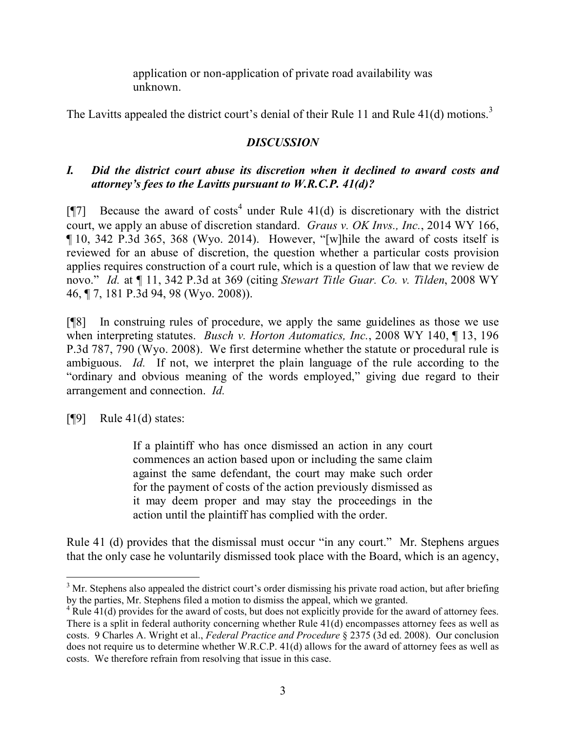application or non-application of private road availability was unknown.

The Lavitts appealed the district court's denial of their Rule 11 and Rule  $41(d)$  motions.<sup>3</sup>

# *DISCUSSION*

# *I. Did the district court abuse its discretion when it declined to award costs and attorney's fees to the Lavitts pursuant to W.R.C.P. 41(d)?*

[ $[$ ] Because the award of costs<sup>4</sup> under Rule 41(d) is discretionary with the district court, we apply an abuse of discretion standard. *Graus v. OK Invs., Inc.*, 2014 WY 166, ¶ 10, 342 P.3d 365, 368 (Wyo. 2014). However, "[w]hile the award of costs itself is reviewed for an abuse of discretion, the question whether a particular costs provision applies requires construction of a court rule, which is a question of law that we review de novo." *Id.* at ¶ 11, 342 P.3d at 369 (citing *Stewart Title Guar. Co. v. Tilden*, 2008 WY 46, ¶ 7, 181 P.3d 94, 98 (Wyo. 2008)).

[¶8] In construing rules of procedure, we apply the same guidelines as those we use when interpreting statutes. *Busch v. Horton Automatics, Inc.*, 2008 WY 140, ¶ 13, 196 P.3d 787, 790 (Wyo. 2008). We first determine whether the statute or procedural rule is ambiguous. *Id.* If not, we interpret the plain language of the rule according to the "ordinary and obvious meaning of the words employed," giving due regard to their arrangement and connection. *Id.*

 $[$ [[9] Rule 41(d) states:

If a plaintiff who has once dismissed an action in any court commences an action based upon or including the same claim against the same defendant, the court may make such order for the payment of costs of the action previously dismissed as it may deem proper and may stay the proceedings in the action until the plaintiff has complied with the order.

Rule 41 (d) provides that the dismissal must occur "in any court." Mr. Stephens argues that the only case he voluntarily dismissed took place with the Board, which is an agency,

 <sup>3</sup> Mr. Stephens also appealed the district court's order dismissing his private road action, but after briefing by the parties, Mr. Stephens filed a motion to dismiss the appeal, which we granted.

<sup>&</sup>lt;sup>4</sup> Rule 41(d) provides for the award of costs, but does not explicitly provide for the award of attorney fees. There is a split in federal authority concerning whether Rule 41(d) encompasses attorney fees as well as costs. 9 Charles A. Wright et al., *Federal Practice and Procedure* § 2375 (3d ed. 2008). Our conclusion does not require us to determine whether W.R.C.P. 41(d) allows for the award of attorney fees as well as costs. We therefore refrain from resolving that issue in this case.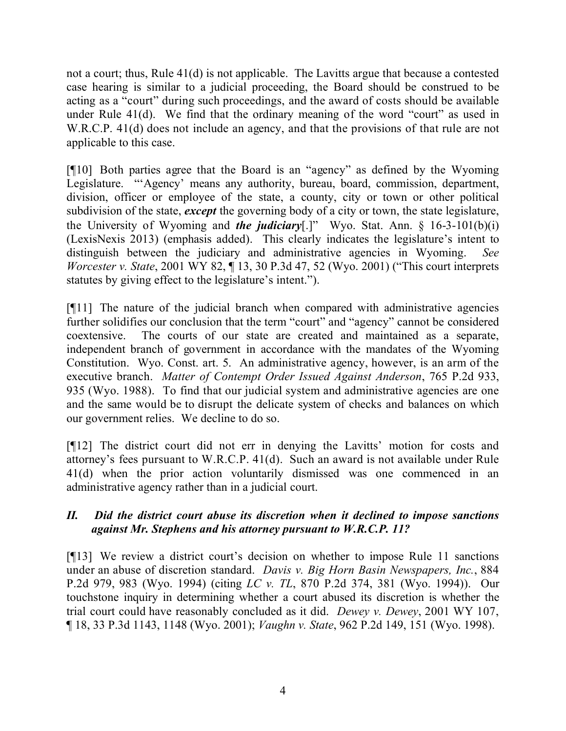not a court; thus, Rule 41(d) is not applicable. The Lavitts argue that because a contested case hearing is similar to a judicial proceeding, the Board should be construed to be acting as a "court" during such proceedings, and the award of costs should be available under Rule 41(d). We find that the ordinary meaning of the word "court" as used in W.R.C.P. 41(d) does not include an agency, and that the provisions of that rule are not applicable to this case.

[¶10] Both parties agree that the Board is an "agency" as defined by the Wyoming Legislature. "'Agency' means any authority, bureau, board, commission, department, division, officer or employee of the state, a county, city or town or other political subdivision of the state, *except* the governing body of a city or town, the state legislature, the University of Wyoming and *the judiciary*[.]" Wyo. Stat. Ann. § 16-3-101(b)(i) (LexisNexis 2013) (emphasis added). This clearly indicates the legislature's intent to distinguish between the judiciary and administrative agencies in Wyoming. *See Worcester v. State*, 2001 WY 82, ¶ 13, 30 P.3d 47, 52 (Wyo. 2001) ("This court interprets statutes by giving effect to the legislature's intent.").

[¶11] The nature of the judicial branch when compared with administrative agencies further solidifies our conclusion that the term "court" and "agency" cannot be considered coextensive. The courts of our state are created and maintained as a separate, independent branch of government in accordance with the mandates of the Wyoming Constitution. Wyo. Const. art. 5. An administrative agency, however, is an arm of the executive branch. *Matter of Contempt Order Issued Against Anderson*, 765 P.2d 933, 935 (Wyo. 1988). To find that our judicial system and administrative agencies are one and the same would be to disrupt the delicate system of checks and balances on which our government relies. We decline to do so.

[¶12] The district court did not err in denying the Lavitts' motion for costs and attorney's fees pursuant to W.R.C.P. 41(d). Such an award is not available under Rule 41(d) when the prior action voluntarily dismissed was one commenced in an administrative agency rather than in a judicial court.

## *II. Did the district court abuse its discretion when it declined to impose sanctions against Mr. Stephens and his attorney pursuant to W.R.C.P. 11?*

[¶13] We review a district court's decision on whether to impose Rule 11 sanctions under an abuse of discretion standard. *Davis v. Big Horn Basin Newspapers, Inc.*, 884 P.2d 979, 983 (Wyo. 1994) (citing *LC v. TL*, 870 P.2d 374, 381 (Wyo. 1994)). Our touchstone inquiry in determining whether a court abused its discretion is whether the trial court could have reasonably concluded as it did. *Dewey v. Dewey*, 2001 WY 107, ¶ 18, 33 P.3d 1143, 1148 (Wyo. 2001); *Vaughn v. State*, 962 P.2d 149, 151 (Wyo. 1998).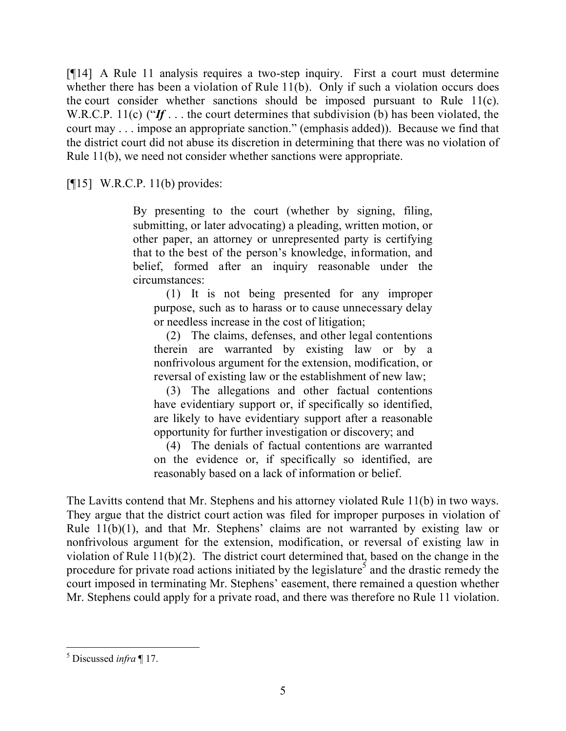[¶14] A Rule 11 analysis requires a two-step inquiry. First a court must determine whether there has been a violation of Rule 11(b). Only if such a violation occurs does the court consider whether sanctions should be imposed pursuant to Rule 11(c). W.R.C.P. 11(c) ("*If* . . . the court determines that subdivision (b) has been violated, the court may . . . impose an appropriate sanction." (emphasis added)). Because we find that the district court did not abuse its discretion in determining that there was no violation of Rule 11(b), we need not consider whether sanctions were appropriate.

 $[15]$  W.R.C.P. 11(b) provides:

By presenting to the court (whether by signing, filing, submitting, or later advocating) a pleading, written motion, or other paper, an attorney or unrepresented party is certifying that to the best of the person's knowledge, information, and belief, formed after an inquiry reasonable under the circumstances:

(1) It is not being presented for any improper purpose, such as to harass or to cause unnecessary delay or needless increase in the cost of litigation;

(2) The claims, defenses, and other legal contentions therein are warranted by existing law or by a nonfrivolous argument for the extension, modification, or reversal of existing law or the establishment of new law;

(3) The allegations and other factual contentions have evidentiary support or, if specifically so identified, are likely to have evidentiary support after a reasonable opportunity for further investigation or discovery; and

(4) The denials of factual contentions are warranted on the evidence or, if specifically so identified, are reasonably based on a lack of information or belief.

The Lavitts contend that Mr. Stephens and his attorney violated Rule 11(b) in two ways. They argue that the district court action was filed for improper purposes in violation of Rule 11(b)(1), and that Mr. Stephens' claims are not warranted by existing law or nonfrivolous argument for the extension, modification, or reversal of existing law in violation of Rule 11(b)(2). The district court determined that, based on the change in the procedure for private road actions initiated by the legislature<sup>5</sup> and the drastic remedy the court imposed in terminating Mr. Stephens' easement, there remained a question whether Mr. Stephens could apply for a private road, and there was therefore no Rule 11 violation.

 <sup>5</sup> Discussed *infra* ¶ 17.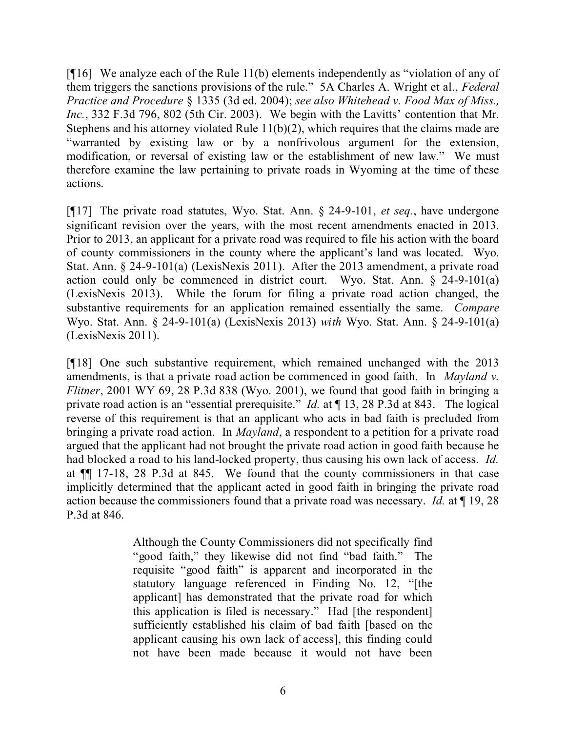[¶16] We analyze each of the Rule 11(b) elements independently as "violation of any of them triggers the sanctions provisions of the rule." 5A Charles A. Wright et al., *Federal Practice and Procedure* § 1335 (3d ed. 2004); *see also Whitehead v. Food Max of Miss., Inc.*, 332 F.3d 796, 802 (5th Cir. 2003). We begin with the Lavitts' contention that Mr. Stephens and his attorney violated Rule 11(b)(2), which requires that the claims made are "warranted by existing law or by a nonfrivolous argument for the extension, modification, or reversal of existing law or the establishment of new law." We must therefore examine the law pertaining to private roads in Wyoming at the time of these actions.

[¶17] The private road statutes, Wyo. Stat. Ann. § 24-9-101, *et seq.*, have undergone significant revision over the years, with the most recent amendments enacted in 2013. Prior to 2013, an applicant for a private road was required to file his action with the board of county commissioners in the county where the applicant's land was located. Wyo. Stat. Ann. § 24-9-101(a) (LexisNexis 2011). After the 2013 amendment, a private road action could only be commenced in district court. Wyo. Stat. Ann. § 24-9-101(a) (LexisNexis 2013). While the forum for filing a private road action changed, the substantive requirements for an application remained essentially the same. *Compare* Wyo. Stat. Ann. § 24-9-101(a) (LexisNexis 2013) *with* Wyo. Stat. Ann. § 24-9-101(a) (LexisNexis 2011).

[¶18] One such substantive requirement, which remained unchanged with the 2013 amendments, is that a private road action be commenced in good faith. In *Mayland v. Flitner*, 2001 WY 69, 28 P.3d 838 (Wyo. 2001), we found that good faith in bringing a private road action is an "essential prerequisite." *Id.* at ¶ 13, 28 P.3d at 843. The logical reverse of this requirement is that an applicant who acts in bad faith is precluded from bringing a private road action. In *Mayland*, a respondent to a petition for a private road argued that the applicant had not brought the private road action in good faith because he had blocked a road to his land-locked property, thus causing his own lack of access. *Id.* at ¶¶ 17-18, 28 P.3d at 845. We found that the county commissioners in that case implicitly determined that the applicant acted in good faith in bringing the private road action because the commissioners found that a private road was necessary. *Id.* at ¶ 19, 28 P.3d at 846.

> Although the County Commissioners did not specifically find "good faith," they likewise did not find "bad faith." The requisite "good faith" is apparent and incorporated in the statutory language referenced in Finding No. 12, "[the applicant] has demonstrated that the private road for which this application is filed is necessary." Had [the respondent] sufficiently established his claim of bad faith [based on the applicant causing his own lack of access], this finding could not have been made because it would not have been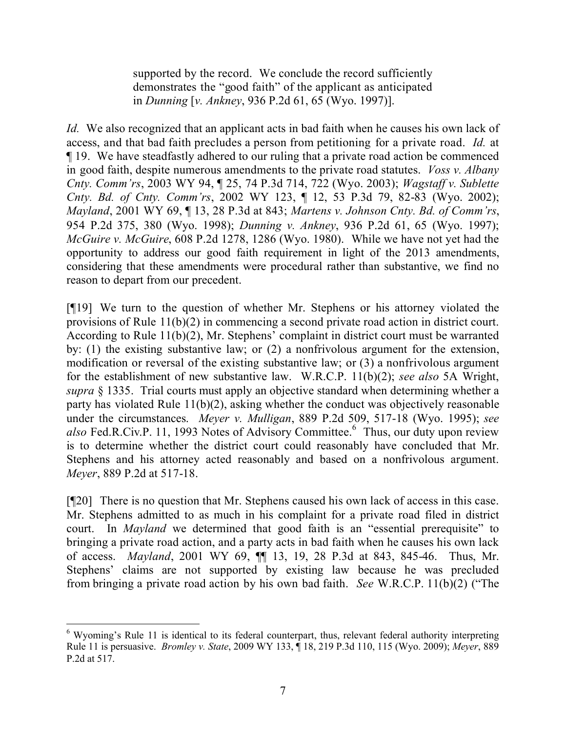supported by the record. We conclude the record sufficiently demonstrates the "good faith" of the applicant as anticipated in *Dunning* [*v. Ankney*, 936 P.2d 61, 65 (Wyo. 1997)].

*Id.* We also recognized that an applicant acts in bad faith when he causes his own lack of access, and that bad faith precludes a person from petitioning for a private road. *Id.* at ¶ 19. We have steadfastly adhered to our ruling that a private road action be commenced in good faith, despite numerous amendments to the private road statutes. *Voss v. Albany Cnty. Comm'rs*, 2003 WY 94, ¶ 25, 74 P.3d 714, 722 (Wyo. 2003); *Wagstaff v. Sublette Cnty. Bd. of Cnty. Comm'rs*, 2002 WY 123, ¶ 12, 53 P.3d 79, 82-83 (Wyo. 2002); *Mayland*, 2001 WY 69, ¶ 13, 28 P.3d at 843; *Martens v. Johnson Cnty. Bd. of Comm'rs*, 954 P.2d 375, 380 (Wyo. 1998); *Dunning v. Ankney*, 936 P.2d 61, 65 (Wyo. 1997); *McGuire v. McGuire*, 608 P.2d 1278, 1286 (Wyo. 1980). While we have not yet had the opportunity to address our good faith requirement in light of the 2013 amendments, considering that these amendments were procedural rather than substantive, we find no reason to depart from our precedent.

[¶19] We turn to the question of whether Mr. Stephens or his attorney violated the provisions of Rule 11(b)(2) in commencing a second private road action in district court. According to Rule 11(b)(2), Mr. Stephens' complaint in district court must be warranted by: (1) the existing substantive law; or (2) a nonfrivolous argument for the extension, modification or reversal of the existing substantive law; or (3) a nonfrivolous argument for the establishment of new substantive law. W.R.C.P. 11(b)(2); *see also* 5A Wright, *supra* § 1335. Trial courts must apply an objective standard when determining whether a party has violated Rule 11(b)(2), asking whether the conduct was objectively reasonable under the circumstances. *Meyer v. Mulligan*, 889 P.2d 509, 517-18 (Wyo. 1995); *see*  also Fed.R.Civ.P. 11, 1993 Notes of Advisory Committee.<sup>6</sup> Thus, our duty upon review is to determine whether the district court could reasonably have concluded that Mr. Stephens and his attorney acted reasonably and based on a nonfrivolous argument. *Meyer*, 889 P.2d at 517-18.

[¶20] There is no question that Mr. Stephens caused his own lack of access in this case. Mr. Stephens admitted to as much in his complaint for a private road filed in district court. In *Mayland* we determined that good faith is an "essential prerequisite" to bringing a private road action, and a party acts in bad faith when he causes his own lack of access. *Mayland*, 2001 WY 69, ¶¶ 13, 19, 28 P.3d at 843, 845-46. Thus, Mr. Stephens' claims are not supported by existing law because he was precluded from bringing a private road action by his own bad faith. *See* W.R.C.P. 11(b)(2) ("The

 <sup>6</sup> Wyoming's Rule 11 is identical to its federal counterpart, thus, relevant federal authority interpreting Rule 11 is persuasive. *Bromley v. State*, 2009 WY 133, ¶ 18, 219 P.3d 110, 115 (Wyo. 2009); *Meyer*, 889 P.2d at 517.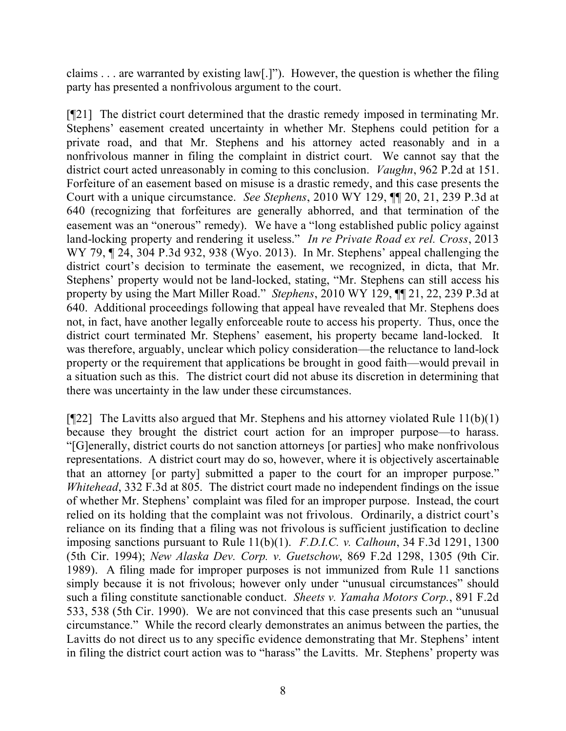claims . . . are warranted by existing law[.]"). However, the question is whether the filing party has presented a nonfrivolous argument to the court.

[¶21] The district court determined that the drastic remedy imposed in terminating Mr. Stephens' easement created uncertainty in whether Mr. Stephens could petition for a private road, and that Mr. Stephens and his attorney acted reasonably and in a nonfrivolous manner in filing the complaint in district court. We cannot say that the district court acted unreasonably in coming to this conclusion. *Vaughn*, 962 P.2d at 151. Forfeiture of an easement based on misuse is a drastic remedy, and this case presents the Court with a unique circumstance. *See Stephens*, 2010 WY 129, ¶¶ 20, 21, 239 P.3d at 640 (recognizing that forfeitures are generally abhorred, and that termination of the easement was an "onerous" remedy). We have a "long established public policy against land-locking property and rendering it useless." *In re Private Road ex rel. Cross*, 2013 WY 79, ¶ 24, 304 P.3d 932, 938 (Wyo. 2013). In Mr. Stephens' appeal challenging the district court's decision to terminate the easement, we recognized, in dicta, that Mr. Stephens' property would not be land-locked, stating, "Mr. Stephens can still access his property by using the Mart Miller Road." *Stephens*, 2010 WY 129, ¶¶ 21, 22, 239 P.3d at 640. Additional proceedings following that appeal have revealed that Mr. Stephens does not, in fact, have another legally enforceable route to access his property. Thus, once the district court terminated Mr. Stephens' easement, his property became land-locked. It was therefore, arguably, unclear which policy consideration—the reluctance to land-lock property or the requirement that applications be brought in good faith—would prevail in a situation such as this. The district court did not abuse its discretion in determining that there was uncertainty in the law under these circumstances.

[ $[$ [22] The Lavitts also argued that Mr. Stephens and his attorney violated Rule 11(b)(1) because they brought the district court action for an improper purpose—to harass. "[G]enerally, district courts do not sanction attorneys [or parties] who make nonfrivolous representations. A district court may do so, however, where it is objectively ascertainable that an attorney [or party] submitted a paper to the court for an improper purpose." *Whitehead*, 332 F.3d at 805. The district court made no independent findings on the issue of whether Mr. Stephens' complaint was filed for an improper purpose. Instead, the court relied on its holding that the complaint was not frivolous. Ordinarily, a district court's reliance on its finding that a filing was not frivolous is sufficient justification to decline imposing sanctions pursuant to Rule 11(b)(1). *F.D.I.C. v. Calhoun*, 34 F.3d 1291, 1300 (5th Cir. 1994); *New Alaska Dev. Corp. v. Guetschow*, 869 F.2d 1298, 1305 (9th Cir. 1989). A filing made for improper purposes is not immunized from Rule 11 sanctions simply because it is not frivolous; however only under "unusual circumstances" should such a filing constitute sanctionable conduct. *Sheets v. Yamaha Motors Corp.*, 891 F.2d 533, 538 (5th Cir. 1990). We are not convinced that this case presents such an "unusual circumstance." While the record clearly demonstrates an animus between the parties, the Lavitts do not direct us to any specific evidence demonstrating that Mr. Stephens' intent in filing the district court action was to "harass" the Lavitts. Mr. Stephens' property was